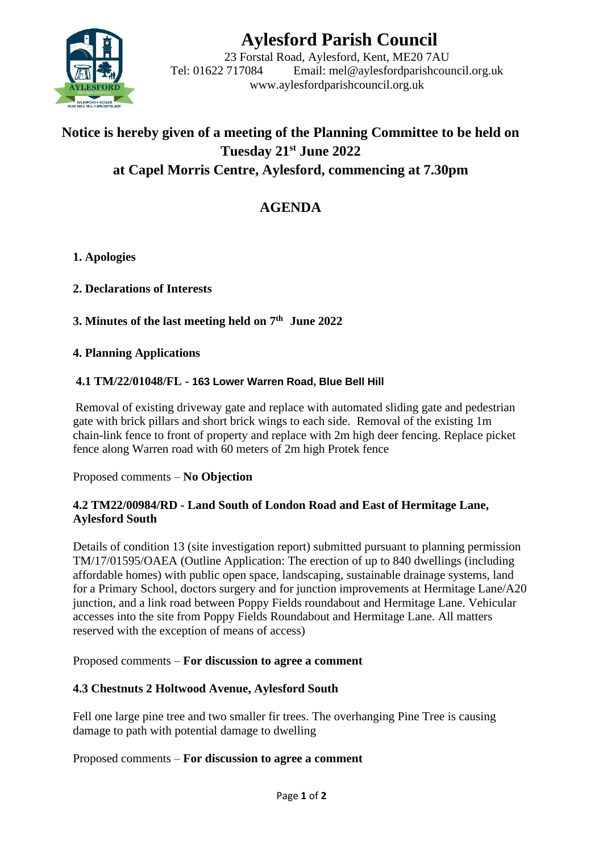

# **Aylesford Parish Council**

23 Forstal Road, Aylesford, Kent, ME20 7AU Tel: 01622 717084 Email: mel@aylesfordparishcouncil.org.uk www.aylesfordparishcouncil.org.uk

# **Notice is hereby given of a meeting of the Planning Committee to be held on Tuesday 21st June 2022 at Capel Morris Centre, Aylesford, commencing at 7.30pm**

## **AGENDA**

**1. Apologies**

**2. Declarations of Interests**

**3. Minutes of the last meeting held on 7 th June 2022**

**4. Planning Applications**

#### **4.1 TM/22/01048/FL - 163 Lower Warren Road, Blue Bell Hill**

Removal of existing driveway gate and replace with automated sliding gate and pedestrian gate with brick pillars and short brick wings to each side. Removal of the existing 1m chain-link fence to front of property and replace with 2m high deer fencing. Replace picket fence along Warren road with 60 meters of 2m high Protek fence

Proposed comments – **No Objection**

#### **4.2 TM22/00984/RD - Land South of London Road and East of Hermitage Lane, Aylesford South**

Details of condition 13 (site investigation report) submitted pursuant to planning permission TM/17/01595/OAEA (Outline Application: The erection of up to 840 dwellings (including affordable homes) with public open space, landscaping, sustainable drainage systems, land for a Primary School, doctors surgery and for junction improvements at Hermitage Lane/A20 junction, and a link road between Poppy Fields roundabout and Hermitage Lane. Vehicular accesses into the site from Poppy Fields Roundabout and Hermitage Lane. All matters reserved with the exception of means of access)

Proposed comments – **For discussion to agree a comment**

#### **4.3 Chestnuts 2 Holtwood Avenue, Aylesford South**

Fell one large pine tree and two smaller fir trees. The overhanging Pine Tree is causing damage to path with potential damage to dwelling

Proposed comments – **For discussion to agree a comment**